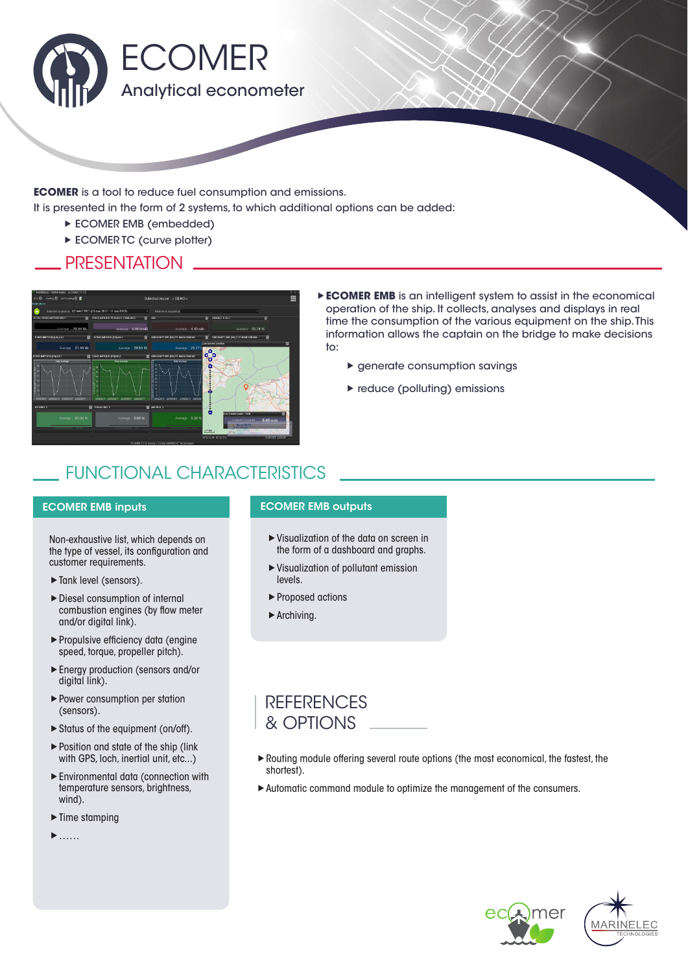

**ECOMER** is a tool to reduce fuel consumption and emissions.

It is presented in the form of 2 systems, to which additional options can be added:

- **ECOMER EMB (embedded)**
- **ECOMER TC (curve plotter)**

#### **PRESENTATION**



- **ECOMER EMB** is an intelligent system to assist in the economical operation of the ship. It collects, analyses and displays in real time the consumption of the various equipment on the ship. This information allows the captain on the bridge to make decisions to:
	- $\blacktriangleright$  aenerate consumption savinas
	- ▶ reduce (polluting) emissions

## FUNCTIONAL CHARACTERISTICS

#### ECOMER EMB inputs

Non-exhaustive list, which depends on the type of vessel, its configuration and customer requirements.

- ▶ Tank level (sensors).
- Diesel consumption of internal combustion engines (by flow meter and/or digital link).
- Propulsive efficiency data (engine speed, torque, propeller pitch).
- Energy production (sensors and/or digital link).
- Power consumption per station (sensors).
- Status of the equipment (on/off).
- ▶ Position and state of the ship (link with GPS, loch, inertial unit, etc...)
- Environmental data (connection with temperature sensors, brightness, wind).
- $\blacktriangleright$  Time stamping
- ……

#### ECOMER EMB outputs

- Visualization of the data on screen in the form of a dashboard and graphs.
- Visualization of pollutant emission levels.
- ▶ Proposed actions
- ▶ Archiving.

### **REFERENCES** & OPTIONS

- Routing module offering several route options (the most economical, the fastest, the shortest).
- Automatic command module to optimize the management of the consumers.